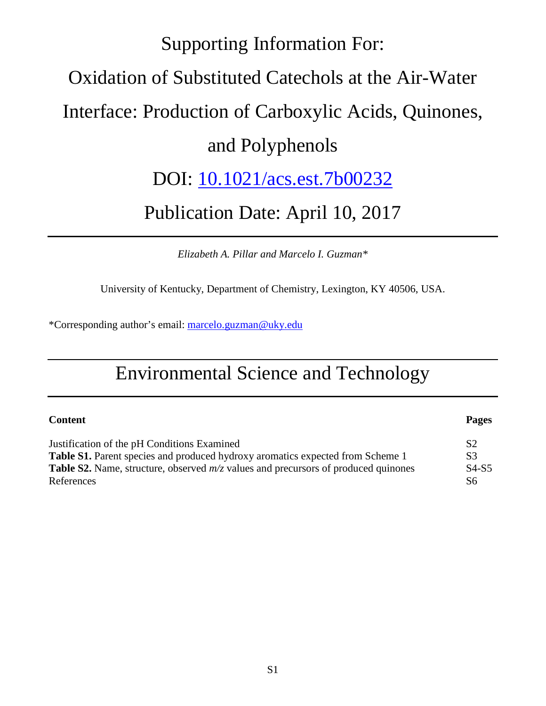# Supporting Information For:

# Oxidation of Substituted Catechols at the Air-Water

## Interface: Production of Carboxylic Acids, Quinones,

### and Polyphenols

## DOI: [10.1021/acs.est.7b00232](http://pubs.acs.org/doi/abs/10.1021/acs.est.7b00232)

### Publication Date: April 10, 2017

*Elizabeth A. Pillar and Marcelo I. Guzman\**

University of Kentucky, Department of Chemistry, Lexington, KY 40506, USA.

\*Corresponding author's email: [marcelo.guzman@uky.edu](mailto:marcelo.guzman@uky.edu)

# Environmental Science and Technology

| <b>Content</b>                                                                              | <b>Pages</b>   |
|---------------------------------------------------------------------------------------------|----------------|
| Justification of the pH Conditions Examined                                                 | S <sub>2</sub> |
| Table S1. Parent species and produced hydroxy aromatics expected from Scheme 1              | S <sub>3</sub> |
| <b>Table S2.</b> Name, structure, observed $m/z$ values and precursors of produced quinones | $S4-S5$        |
| References                                                                                  | -S6            |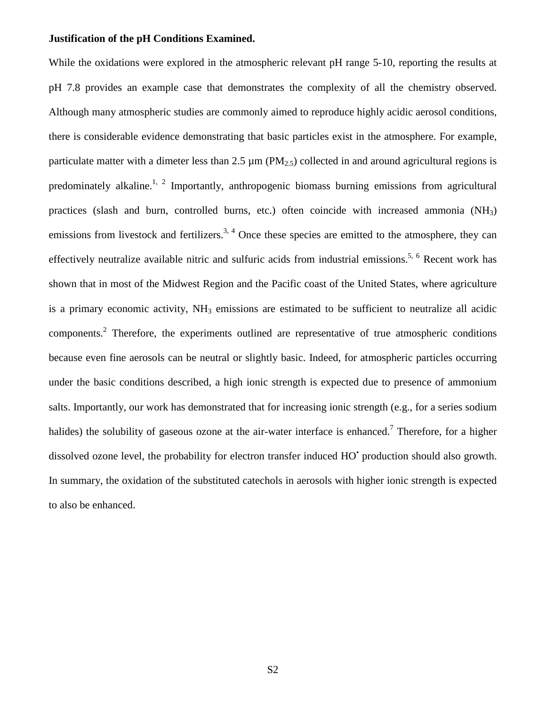#### **Justification of the pH Conditions Examined.**

While the oxidations were explored in the atmospheric relevant pH range 5-10, reporting the results at pH 7.8 provides an example case that demonstrates the complexity of all the chemistry observed. Although many atmospheric studies are commonly aimed to reproduce highly acidic aerosol conditions, there is considerable evidence demonstrating that basic particles exist in the atmosphere. For example, particulate matter with a dimeter less than 2.5  $\mu$ m (PM<sub>2.5</sub>) collected in and around agricultural regions is predominately alkaline.<sup>[1,](#page-5-0) [2](#page-5-1)</sup> Importantly, anthropogenic biomass burning emissions from agricultural practices (slash and burn, controlled burns, etc.) often coincide with increased ammonia (NH3) emissions from livestock and fertilizers.<sup>3, [4](#page-5-3)</sup> Once these species are emitted to the atmosphere, they can effectively neutralize available nitric and sulfuric acids from industrial emissions.<sup>5, [6](#page-5-5)</sup> Recent work has shown that in most of the Midwest Region and the Pacific coast of the United States, where agriculture is a primary economic activity,  $NH_3$  emissions are estimated to be sufficient to neutralize all acidic components[.](#page-5-1)<sup>2</sup> Therefore, the experiments outlined are representative of true atmospheric conditions because even fine aerosols can be neutral or slightly basic. Indeed, for atmospheric particles occurring under the basic conditions described, a high ionic strength is expected due to presence of ammonium salts. Importantly, our work has demonstrated that for increasing ionic strength (e.g., for a series sodium halides) the solubility of gaseous ozone at the air-water interface is enhanced.<sup>[7](#page-5-6)</sup> Therefore, for a higher dissolved ozone level, the probability for electron transfer induced HO• production should also growth. In summary, the oxidation of the substituted catechols in aerosols with higher ionic strength is expected to also be enhanced.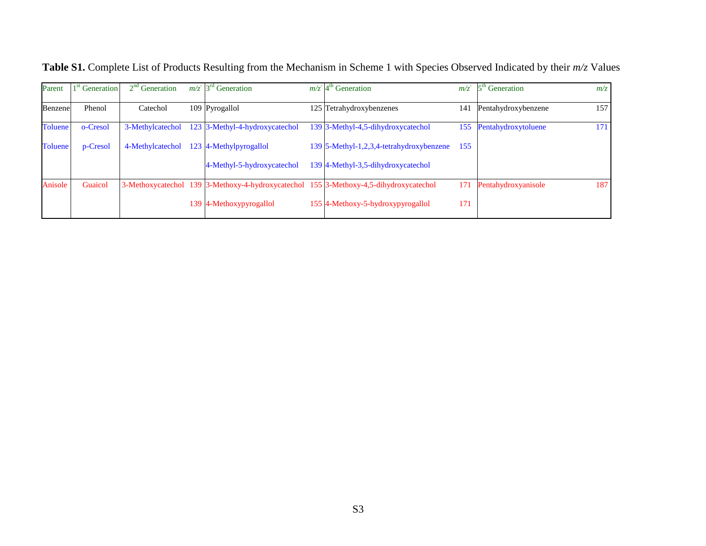| Parent         | 1 <sup>st</sup> Generation | $2nd$ Generation | $m/z$ 3 <sup>rd</sup> Generation | $m/z$ <sup>th</sup> Generation                                                        | m/z | $5th$ Generation    | $m/z$ . |
|----------------|----------------------------|------------------|----------------------------------|---------------------------------------------------------------------------------------|-----|---------------------|---------|
| Benzene        | Phenol                     | Catechol         | 109 Pyrogallol                   | 125 Tetrahydroxybenzenes                                                              | 141 | Pentahydroxybenzene | 157     |
| <b>Toluene</b> | o-Cresol                   | 3-Methylcatechol | 123 3-Methyl-4-hydroxycatechol   | 139 3-Methyl-4,5-dihydroxycatechol                                                    | 155 | Pentahydroxytoluene | 171     |
| <b>Toluene</b> | p-Cresol                   | 4-Methylcatechol | 123 4-Methylpyrogallol           | 139 5-Methyl-1,2,3,4-tetrahydroxybenzene                                              | 155 |                     |         |
|                |                            |                  | 4-Methyl-5-hydroxycatechol       | 139 4-Methyl-3,5-dihydroxycatechol                                                    |     |                     |         |
| Anisole        | Guaicol                    |                  |                                  | 3-Methoxycatechol 139 3-Methoxy-4-hydroxycatechol 155 3-Methoxy-4,5-dihydroxycatechol | 171 | Pentahydroxyanisole | 187     |
|                |                            |                  | 139 4-Methoxypyrogallol          | 155 4-Methoxy-5-hydroxypyrogallol                                                     | 171 |                     |         |

**Table S1.** Complete List of Products Resulting from the Mechanism in Scheme 1 with Species Observed Indicated by their *m/z* Values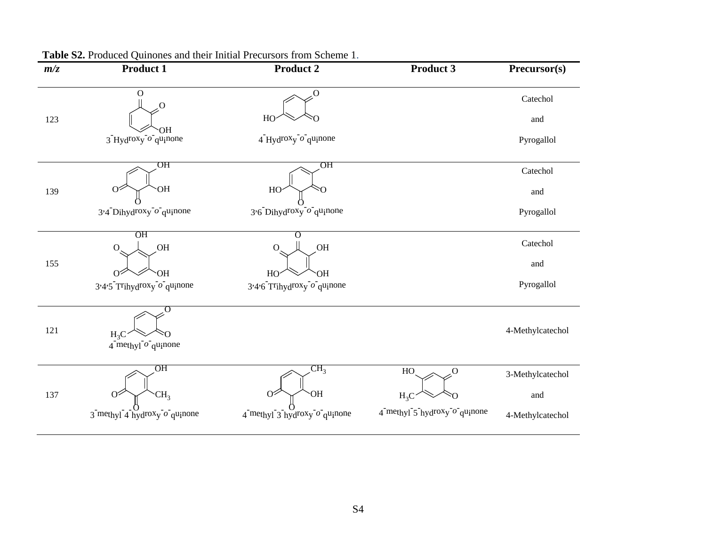| m/z | $\epsilon$ DET Frouded Quinones and their findal Freedsons from Scheme F.<br><b>Product 1</b> | <b>Product 2</b>                          | <b>Product 3</b>                                                      | Precursor(s)     |
|-----|-----------------------------------------------------------------------------------------------|-------------------------------------------|-----------------------------------------------------------------------|------------------|
|     | O<br>$\Omega$                                                                                 | О                                         |                                                                       | Catechol         |
| 123 |                                                                                               | HO                                        |                                                                       | and              |
|     | OН<br>$3$ Hydroxy $\overline{o}$ quinone                                                      | $4$ Hydroxy $\sigma$ qu <sub>i</sub> none |                                                                       | Pyrogallol       |
|     | OH                                                                                            | $\overline{OH}$                           |                                                                       | Catechol         |
| 139 | OH                                                                                            | HO                                        |                                                                       | and              |
|     | $3.4$ Dihydroxy $\sigma$ quinone                                                              | $3.6$ Dihydroxy $\overline{o}$ quinone    |                                                                       | Pyrogallol       |
|     | OН<br>OH<br>$\mathbf{O}$                                                                      | $\mathbf{O}$<br>OH                        |                                                                       | Catechol         |
| 155 | <b>OH</b><br>$\Omega$                                                                         | <b>OH</b><br>HO                           |                                                                       | and              |
|     | $3.4.5$ Trihydroxy $o$ quinone                                                                | $3.4.6$ Trihydroxy $o$ quinone            |                                                                       | Pyrogallol       |
| 121 | 0<br>$H_3C$<br>$4$ methyl $o$ quinone                                                         |                                           |                                                                       | 4-Methylcatechol |
|     | ΟH                                                                                            | CH <sub>3</sub>                           | HO<br>O                                                               | 3-Methylcatechol |
| 137 | CH <sub>3</sub>                                                                               | OH                                        | $H_3C$                                                                | and              |
|     | $3$ methyl $4$ hydroxy $\sigma$ quinone                                                       | $4$ methyl $3$ hydroxy $o$ quinone        | $4$ <sup>-methyl-5</sup> <sub>hydroxy</sub> $o$ -qu <sub>i</sub> none | 4-Methylcatechol |

**Table S2.** Produced Quinones and their Initial Precursors from Scheme 1.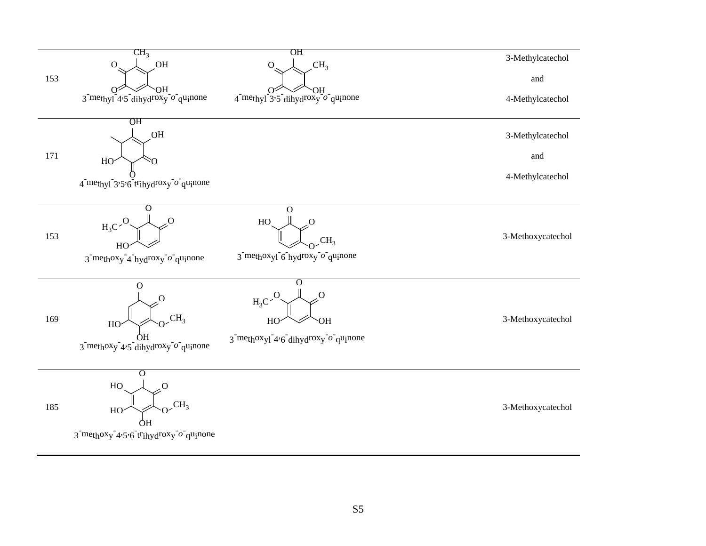